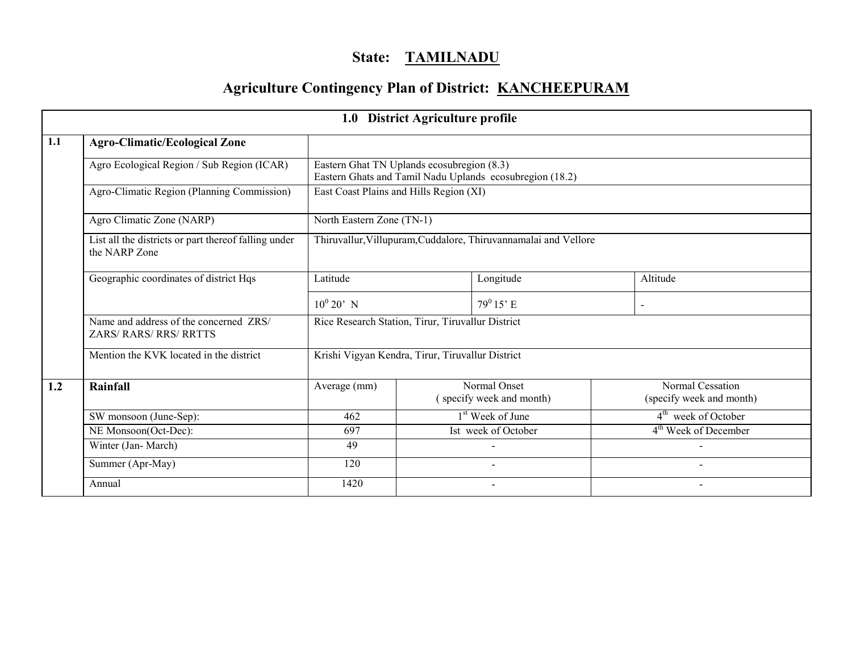# State: TAMILNADU

# Agriculture Contingency Plan of District: KANCHEEPURAM

|     |                                                                       |                                                   | 1.0 District Agriculture profile                                |                                                          |  |                                              |  |  |  |
|-----|-----------------------------------------------------------------------|---------------------------------------------------|-----------------------------------------------------------------|----------------------------------------------------------|--|----------------------------------------------|--|--|--|
| 1.1 | <b>Agro-Climatic/Ecological Zone</b>                                  |                                                   |                                                                 |                                                          |  |                                              |  |  |  |
|     | Agro Ecological Region / Sub Region (ICAR)                            | Eastern Ghat TN Uplands ecosubregion (8.3)        |                                                                 | Eastern Ghats and Tamil Nadu Uplands ecosubregion (18.2) |  |                                              |  |  |  |
|     | Agro-Climatic Region (Planning Commission)                            |                                                   | East Coast Plains and Hills Region (XI)                         |                                                          |  |                                              |  |  |  |
|     | Agro Climatic Zone (NARP)                                             |                                                   | North Eastern Zone (TN-1)                                       |                                                          |  |                                              |  |  |  |
|     | List all the districts or part thereof falling under<br>the NARP Zone |                                                   | Thiruvallur, Villupuram, Cuddalore, Thiruvannamalai and Vellore |                                                          |  |                                              |  |  |  |
|     | Geographic coordinates of district Hqs                                | Latitude                                          | Longitude                                                       |                                                          |  | Altitude                                     |  |  |  |
|     |                                                                       | $10^0 20'$ N                                      |                                                                 | $79^0 15$ ' E                                            |  | $\blacksquare$                               |  |  |  |
|     | Name and address of the concerned ZRS/<br>ZARS/ RARS/ RRS/ RRTTS      | Rice Research Station, Tirur, Tiruvallur District |                                                                 |                                                          |  |                                              |  |  |  |
|     | Mention the KVK located in the district                               | Krishi Vigyan Kendra, Tirur, Tiruvallur District  |                                                                 |                                                          |  |                                              |  |  |  |
| 1.2 | <b>Rainfall</b>                                                       | Average (mm)                                      |                                                                 | Normal Onset<br>(specify week and month)                 |  | Normal Cessation<br>(specify week and month) |  |  |  |
|     | SW monsoon (June-Sep):                                                | 462                                               |                                                                 | 1 <sup>st</sup> Week of June                             |  | 4 <sup>th</sup> week of October              |  |  |  |
|     | NE Monsoon(Oct-Dec):                                                  | 697                                               |                                                                 | Ist week of October                                      |  | 4 <sup>th</sup> Week of December             |  |  |  |
|     | Winter (Jan-March)                                                    | 49                                                |                                                                 |                                                          |  |                                              |  |  |  |
|     | Summer (Apr-May)                                                      | 120                                               |                                                                 |                                                          |  |                                              |  |  |  |
|     | Annual                                                                | 1420                                              |                                                                 |                                                          |  |                                              |  |  |  |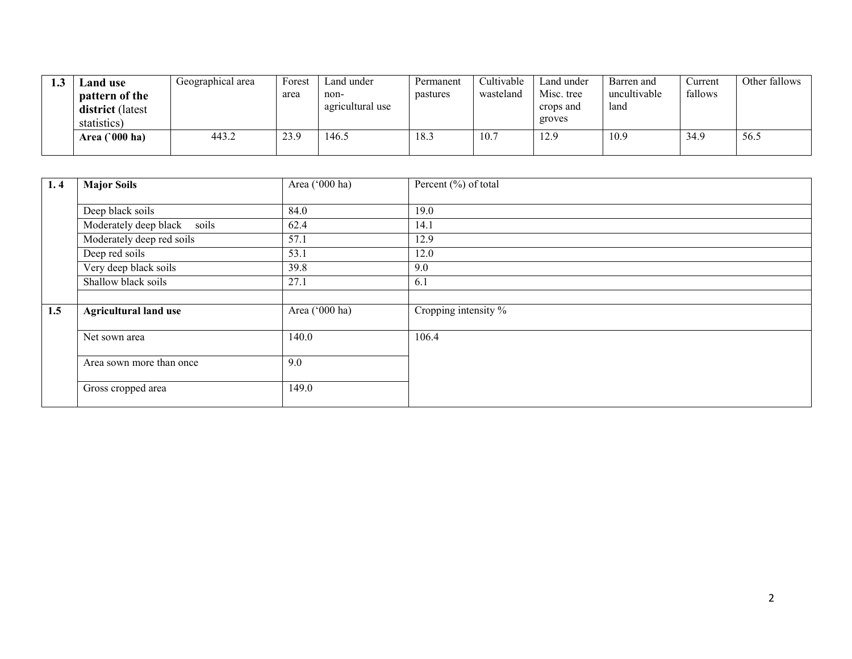| 1.3 | <b>Land</b> use<br>pattern of the<br>district (latest<br>statistics) | Geographical area | Forest<br>area | Land under<br>non-<br>agricultural use | Permanent<br>pastures | Cultivable<br>wasteland | Land under<br>Misc. tree<br>crops and<br>groves | Barren and<br>uncultivable<br>land | Current<br>fallows | Other fallows |
|-----|----------------------------------------------------------------------|-------------------|----------------|----------------------------------------|-----------------------|-------------------------|-------------------------------------------------|------------------------------------|--------------------|---------------|
|     | Area $(000 \text{ ha})$                                              | 443.2             | 23.9           | 146.5                                  | 18.3                  | 10.7                    | 12.9                                            | 10.9                               | 34.9               | 56.5          |

| 1.4 | <b>Major Soils</b>             | Area ('000 ha) | Percent $(\% )$ of total |
|-----|--------------------------------|----------------|--------------------------|
|     | Deep black soils               | 84.0           | 19.0                     |
|     |                                |                |                          |
|     | Moderately deep black<br>soils | 62.4           | 14.1                     |
|     | Moderately deep red soils      | 57.1           | 12.9                     |
|     | Deep red soils                 | 53.1           | 12.0                     |
|     | Very deep black soils          | 39.8           | 9.0                      |
|     | Shallow black soils            | 27.1           | 6.1                      |
|     |                                |                |                          |
| 1.5 | <b>Agricultural land use</b>   | Area ('000 ha) | Cropping intensity %     |
|     | Net sown area                  | 140.0          | 106.4                    |
|     | Area sown more than once       | 9.0            |                          |
|     | Gross cropped area             | 149.0          |                          |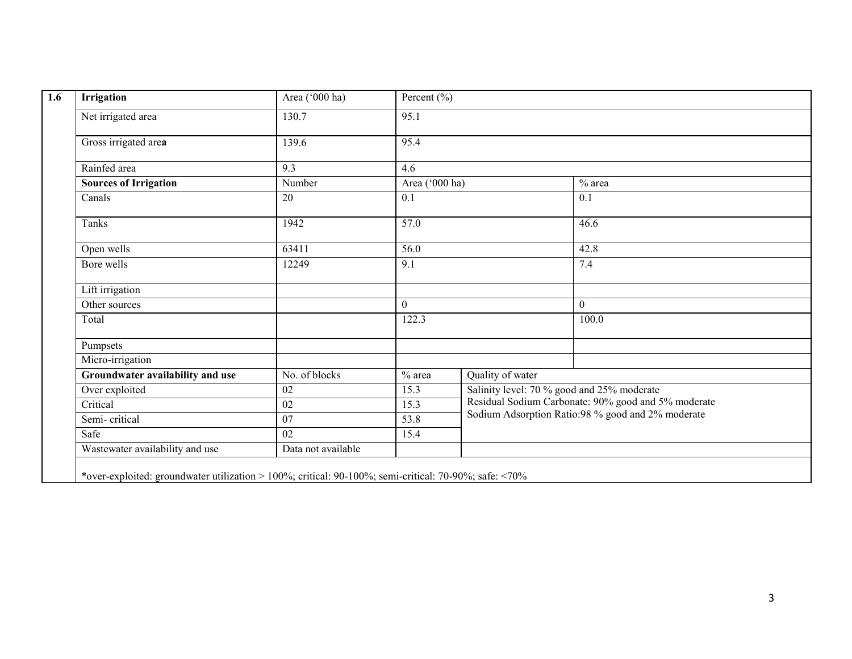| Irrigation                       | Area ('000 ha)     | Percent $(\% )$ |                  |                                                     |  |  |  |
|----------------------------------|--------------------|-----------------|------------------|-----------------------------------------------------|--|--|--|
| Net irrigated area               | 130.7              | 95.1            |                  |                                                     |  |  |  |
| Gross irrigated area             | 139.6              | 95.4            |                  |                                                     |  |  |  |
| Rainfed area                     | 9.3                | 4.6             |                  |                                                     |  |  |  |
| <b>Sources of Irrigation</b>     | Number             | Area ('000 ha)  |                  | $\overline{\%}$ area                                |  |  |  |
| Canals                           | 20                 | 0.1             |                  | 0.1                                                 |  |  |  |
| Tanks                            | 1942               | 57.0            |                  | 46.6                                                |  |  |  |
| Open wells                       | 63411              | 56.0            |                  | 42.8                                                |  |  |  |
| Bore wells                       | 12249              | 9.1             |                  | 7.4                                                 |  |  |  |
| Lift irrigation                  |                    |                 |                  |                                                     |  |  |  |
| Other sources                    |                    | $\overline{0}$  |                  | $\boldsymbol{0}$                                    |  |  |  |
| Total                            |                    | 122.3           |                  | 100.0                                               |  |  |  |
| Pumpsets                         |                    |                 |                  |                                                     |  |  |  |
| Micro-irrigation                 |                    |                 |                  |                                                     |  |  |  |
| Groundwater availability and use | No. of blocks      | $%$ area        | Quality of water |                                                     |  |  |  |
| Over exploited                   | 02                 | 15.3            |                  | Salinity level: 70 % good and 25% moderate          |  |  |  |
| Critical                         | $\overline{02}$    | 15.3            |                  | Residual Sodium Carbonate: 90% good and 5% moderate |  |  |  |
| Semi-critical                    | $\overline{07}$    | 53.8            |                  | Sodium Adsorption Ratio:98 % good and 2% moderate   |  |  |  |
| Safe                             | $\overline{02}$    | 15.4            |                  |                                                     |  |  |  |
| Wastewater availability and use  | Data not available |                 |                  |                                                     |  |  |  |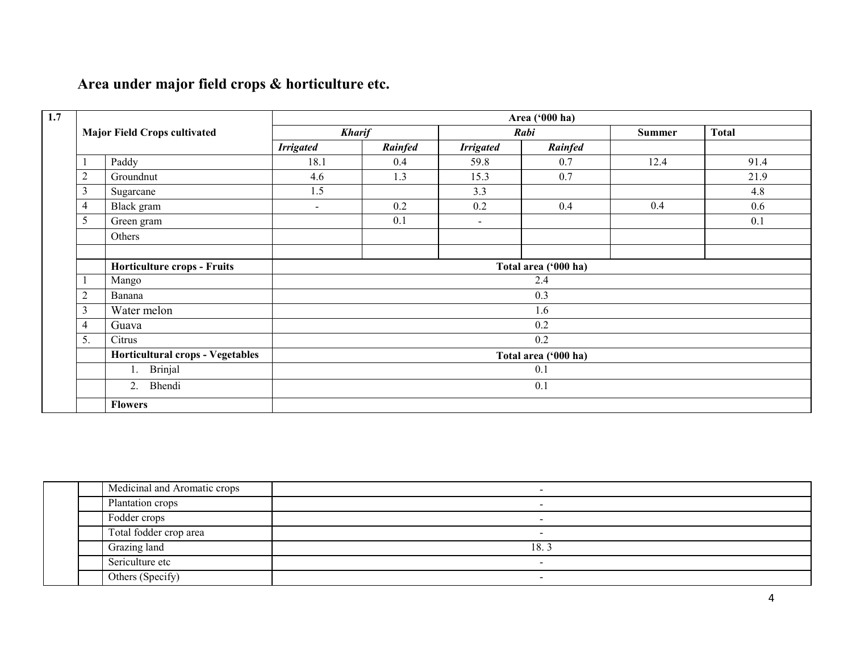# Area under major field crops & horticulture etc.

|                |                                         |                      |               |                  | Area ('000 ha)       |      |              |  |  |
|----------------|-----------------------------------------|----------------------|---------------|------------------|----------------------|------|--------------|--|--|
|                | <b>Major Field Crops cultivated</b>     |                      | <b>Kharif</b> |                  | Rabi                 |      | <b>Total</b> |  |  |
|                |                                         | <b>Irrigated</b>     | Rainfed       | <b>Irrigated</b> | Rainfed              |      |              |  |  |
|                | Paddy                                   | 18.1                 | 0.4           | 59.8             | 0.7                  | 12.4 | 91.4         |  |  |
| $\overline{2}$ | Groundnut                               | 4.6                  | 1.3           | 15.3             | 0.7                  |      | 21.9         |  |  |
| $\mathfrak{Z}$ | Sugarcane                               | 1.5                  |               | 3.3              |                      |      | 4.8          |  |  |
| $\overline{4}$ | Black gram                              | $\sim$               | 0.2           | 0.2              | 0.4                  | 0.4  | 0.6          |  |  |
| 5              | Green gram                              |                      | 0.1           | $\blacksquare$   |                      |      | 0.1          |  |  |
|                | Others                                  |                      |               |                  |                      |      |              |  |  |
|                | <b>Horticulture crops - Fruits</b>      |                      |               |                  | Total area ('000 ha) |      |              |  |  |
|                | Mango                                   |                      |               |                  | 2.4                  |      |              |  |  |
| $\overline{2}$ | Banana                                  |                      |               |                  | 0.3                  |      |              |  |  |
| $\mathfrak{Z}$ | Water melon                             |                      |               |                  | 1.6                  |      |              |  |  |
| $\overline{4}$ | Guava                                   | 0.2                  |               |                  |                      |      |              |  |  |
| 5.             | Citrus                                  | 0.2                  |               |                  |                      |      |              |  |  |
|                | <b>Horticultural crops - Vegetables</b> | Total area ('000 ha) |               |                  |                      |      |              |  |  |
|                | Brinjal<br>1.                           |                      |               |                  | 0.1                  |      |              |  |  |
|                | Bhendi<br>2.                            |                      |               |                  | 0.1                  |      |              |  |  |
|                | <b>Flowers</b>                          |                      |               |                  |                      |      |              |  |  |

| Medicinal and Aromatic crops | $\,$                     |
|------------------------------|--------------------------|
| Plantation crops             | $\overline{\phantom{0}}$ |
| Fodder crops                 |                          |
| Total fodder crop area       | -                        |
| Grazing land                 | 18.3                     |
| Sericulture etc              | $\overline{\phantom{0}}$ |
| Others (Specify)             | $\overline{\phantom{a}}$ |
|                              |                          |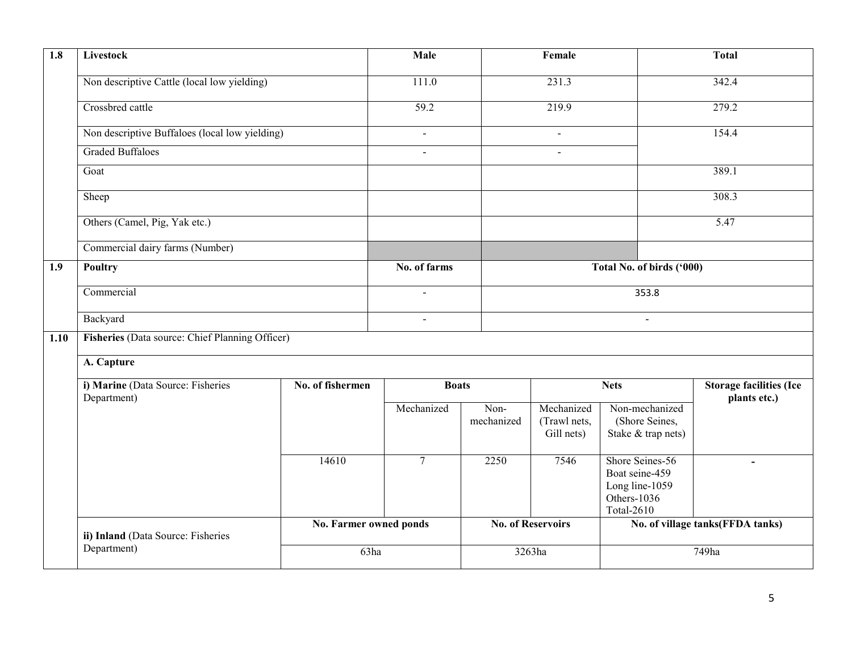| $\overline{1.8}$ | Livestock                                        |                        | Male              |                          | Female                                   | <b>Total</b>                                                                     |                                                |  |
|------------------|--------------------------------------------------|------------------------|-------------------|--------------------------|------------------------------------------|----------------------------------------------------------------------------------|------------------------------------------------|--|
|                  | Non descriptive Cattle (local low yielding)      |                        | 111.0             |                          | 231.3                                    |                                                                                  | 342.4                                          |  |
|                  | Crossbred cattle                                 |                        | $\overline{59.2}$ |                          | 219.9                                    |                                                                                  | 279.2                                          |  |
|                  | Non descriptive Buffaloes (local low yielding)   |                        | $\mathbf{r}$      |                          | $\blacksquare$                           |                                                                                  | 154.4                                          |  |
|                  | <b>Graded Buffaloes</b>                          |                        | $\overline{a}$    |                          | $\sim$                                   |                                                                                  |                                                |  |
|                  | Goat                                             |                        |                   |                          |                                          |                                                                                  | 389.1                                          |  |
|                  | Sheep                                            |                        |                   |                          |                                          |                                                                                  | 308.3                                          |  |
|                  | Others (Camel, Pig, Yak etc.)                    |                        |                   |                          |                                          |                                                                                  | 5.47                                           |  |
|                  | Commercial dairy farms (Number)                  |                        |                   |                          |                                          |                                                                                  |                                                |  |
| 1.9              | Poultry                                          |                        | No. of farms      |                          | Total No. of birds ('000)                |                                                                                  |                                                |  |
|                  | Commercial                                       |                        | $\blacksquare$    |                          | 353.8                                    |                                                                                  |                                                |  |
|                  | Backyard                                         |                        | $\blacksquare$    | $\sim$                   |                                          |                                                                                  |                                                |  |
| 1.10             | Fisheries (Data source: Chief Planning Officer)  |                        |                   |                          |                                          |                                                                                  |                                                |  |
|                  | A. Capture                                       |                        |                   |                          |                                          |                                                                                  |                                                |  |
|                  | i) Marine (Data Source: Fisheries<br>Department) | No. of fishermen       | <b>Boats</b>      |                          | <b>Nets</b>                              |                                                                                  | <b>Storage facilities (Ice</b><br>plants etc.) |  |
|                  |                                                  |                        | Mechanized        | Non-<br>mechanized       | Mechanized<br>(Trawl nets,<br>Gill nets) | Non-mechanized<br>(Shore Seines,<br>Stake & trap nets)                           |                                                |  |
|                  |                                                  | 14610                  | $\overline{7}$    | 2250                     | 7546                                     | Shore Seines-56<br>Boat seine-459<br>Long line-1059<br>Others-1036<br>Total-2610 | $\sim$                                         |  |
|                  | ii) Inland (Data Source: Fisheries               | No. Farmer owned ponds |                   | <b>No. of Reservoirs</b> |                                          |                                                                                  | No. of village tanks(FFDA tanks)               |  |
|                  | Department)                                      | 63ha                   |                   | 3263ha                   |                                          |                                                                                  | 749ha                                          |  |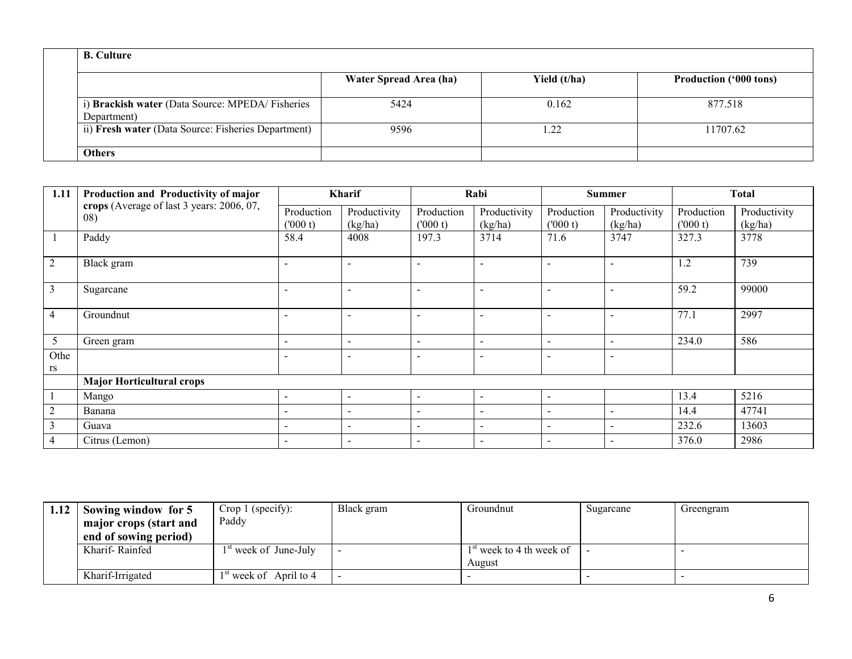| <b>B.</b> Culture                                              |                        |              |                               |  |  |  |  |
|----------------------------------------------------------------|------------------------|--------------|-------------------------------|--|--|--|--|
|                                                                | Water Spread Area (ha) | Yield (t/ha) | <b>Production ('000 tons)</b> |  |  |  |  |
| i) Brackish water (Data Source: MPEDA/Fisheries<br>Department) | 5424                   | 0.162        | 877.518                       |  |  |  |  |
| ii) Fresh water (Data Source: Fisheries Department)            | 9596                   | .22          | 11707.62                      |  |  |  |  |
| <b>Others</b>                                                  |                        |              |                               |  |  |  |  |

| 1.11           | Production and Productivity of major             | <b>Kharif</b>            |                          | Rabi                     |                          |                          | <b>Summer</b>            | Total                  |                         |
|----------------|--------------------------------------------------|--------------------------|--------------------------|--------------------------|--------------------------|--------------------------|--------------------------|------------------------|-------------------------|
|                | crops (Average of last 3 years: 2006, 07,<br>08) | Production<br>(000 t)    | Productivity<br>(kg/ha)  | Production<br>(000 t)    | Productivity<br>(kg/ha)  | Production<br>(000 t)    | Productivity<br>(kg/ha)  | Production<br>(1000 t) | Productivity<br>(kg/ha) |
|                | Paddy                                            | 58.4                     | 4008                     | 197.3                    | 3714                     | 71.6                     | 3747                     | 327.3                  | 3778                    |
| $\overline{2}$ | Black gram                                       | $\overline{\phantom{a}}$ | $\overline{\phantom{a}}$ | $\blacksquare$           | $\overline{\phantom{a}}$ |                          |                          | 1.2                    | 739                     |
| 3              | Sugarcane                                        | $\overline{\phantom{a}}$ | $\overline{\phantom{0}}$ | $\overline{\phantom{a}}$ | $\overline{\phantom{0}}$ |                          |                          | 59.2                   | 99000                   |
| $\overline{4}$ | Groundnut                                        | $\overline{\phantom{a}}$ | $\overline{\phantom{0}}$ | $\overline{\phantom{a}}$ | $\overline{\phantom{a}}$ |                          |                          | 77.1                   | 2997                    |
| 5              | Green gram                                       | $\overline{\phantom{a}}$ | $\overline{\phantom{a}}$ | $\sim$                   | $\sim$                   | $\blacksquare$           | $\overline{\phantom{a}}$ | 234.0                  | 586                     |
| Othe           |                                                  |                          | $\overline{\phantom{0}}$ | $\overline{\phantom{a}}$ | $\overline{\phantom{a}}$ |                          | $\overline{\phantom{a}}$ |                        |                         |
| rs             |                                                  |                          |                          |                          |                          |                          |                          |                        |                         |
|                | <b>Major Horticultural crops</b>                 |                          |                          |                          |                          |                          |                          |                        |                         |
|                | Mango                                            | $\overline{\phantom{a}}$ | $\overline{\phantom{0}}$ | -                        | $\overline{\phantom{a}}$ |                          |                          | 13.4                   | 5216                    |
| $\overline{2}$ | Banana                                           | $\overline{\phantom{a}}$ | $\overline{\phantom{a}}$ | $\sim$                   | $\overline{\phantom{a}}$ | $\overline{\phantom{a}}$ | $\overline{\phantom{0}}$ | 14.4                   | 47741                   |
| 3              | Guava                                            |                          | $\overline{\phantom{a}}$ | $\blacksquare$           | $\overline{\phantom{a}}$ |                          | $\overline{a}$           | 232.6                  | 13603                   |
| 4              | Citrus (Lemon)                                   |                          | ٠                        | $\overline{\phantom{0}}$ | $\overline{\phantom{0}}$ |                          |                          | 376.0                  | 2986                    |

| 1.12 | Sowing window for 5    | Crop 1 (specify):               | Black gram | Groundnut                          | Sugarcane | Greengram |
|------|------------------------|---------------------------------|------------|------------------------------------|-----------|-----------|
|      | major crops (start and | Paddy                           |            |                                    |           |           |
|      | end of sowing period)  |                                 |            |                                    |           |           |
|      | Kharif-Rainfed         | <sup>st</sup> week of June-July |            | <sup>st</sup> week to 4 th week of |           |           |
|      |                        |                                 |            | August                             |           |           |
|      | Kharif-Irrigated       | $1st$ week of April to 4        |            |                                    |           |           |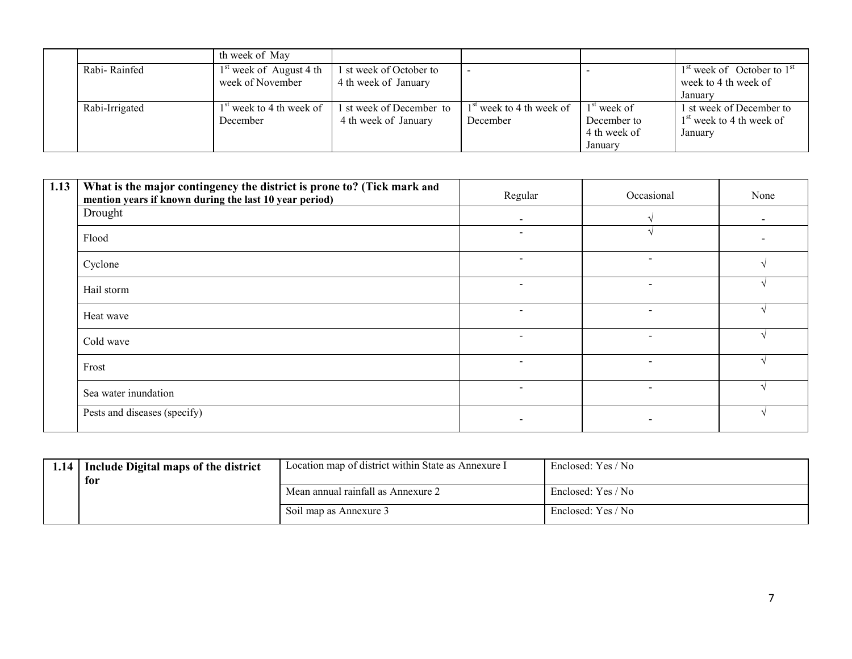|                | th week of May                                        |                                                  |                                        |                                                         |                                                                   |
|----------------|-------------------------------------------------------|--------------------------------------------------|----------------------------------------|---------------------------------------------------------|-------------------------------------------------------------------|
| Rabi-Rainfed   | <sup>st</sup> week of August 4 th<br>week of November | 1 st week of October to<br>4 th week of January  |                                        |                                                         | $1st$ week of October to $1st$<br>week to 4 th week of<br>January |
| Rabi-Irrigated | l <sup>st</sup> week to 4 th week of<br>December      | 1 st week of December to<br>4 th week of January | $1st$ week to 4 th week of<br>December | $1st$ week of<br>December to<br>4 th week of<br>January | 1 st week of December to<br>$1st$ week to 4 th week of<br>January |

| 1.13 | What is the major contingency the district is prone to? (Tick mark and<br>mention years if known during the last 10 year period) | Regular                  | Occasional               | None                     |
|------|----------------------------------------------------------------------------------------------------------------------------------|--------------------------|--------------------------|--------------------------|
|      | Drought                                                                                                                          | $\overline{\phantom{0}}$ |                          | $\overline{\phantom{a}}$ |
|      | Flood                                                                                                                            | $\overline{\phantom{a}}$ |                          |                          |
|      | Cyclone                                                                                                                          | $\overline{\phantom{0}}$ |                          |                          |
|      | Hail storm                                                                                                                       | $\overline{\phantom{0}}$ | $\overline{\phantom{a}}$ |                          |
|      | Heat wave                                                                                                                        | $\overline{a}$           | $\overline{\phantom{0}}$ |                          |
|      | Cold wave                                                                                                                        | $\overline{\phantom{a}}$ | $\overline{\phantom{a}}$ |                          |
|      | Frost                                                                                                                            | $\overline{\phantom{a}}$ | $\overline{\phantom{a}}$ |                          |
|      | Sea water inundation                                                                                                             | $\overline{\phantom{0}}$ |                          |                          |
|      | Pests and diseases (specify)                                                                                                     |                          |                          |                          |

|  | 1.14 Include Digital maps of the district<br>for | Location map of district within State as Annexure I | Enclosed: Yes / No |
|--|--------------------------------------------------|-----------------------------------------------------|--------------------|
|  |                                                  | Mean annual rainfall as Annexure 2                  | Enclosed: Yes / No |
|  |                                                  | Soil map as Annexure 3                              | Enclosed: Yes / No |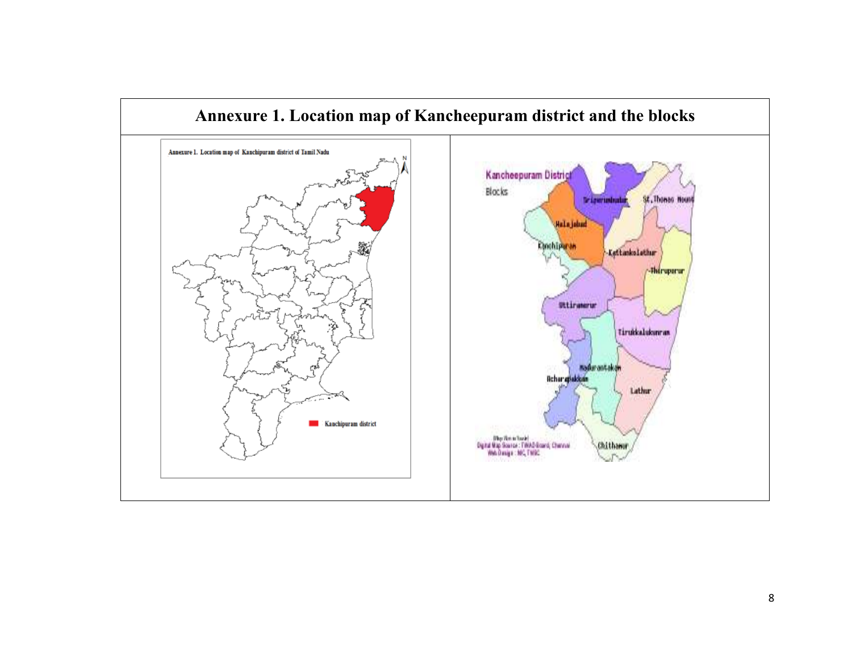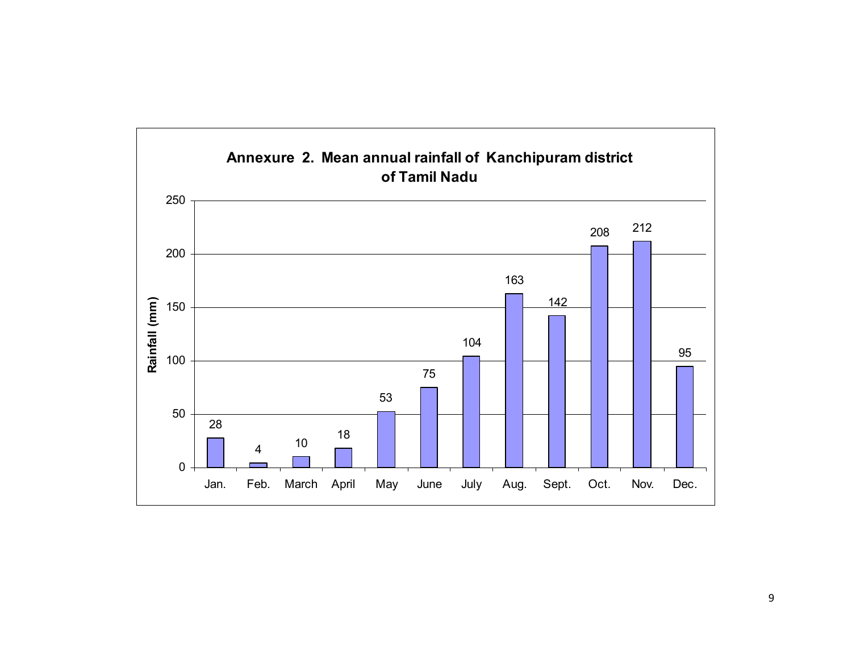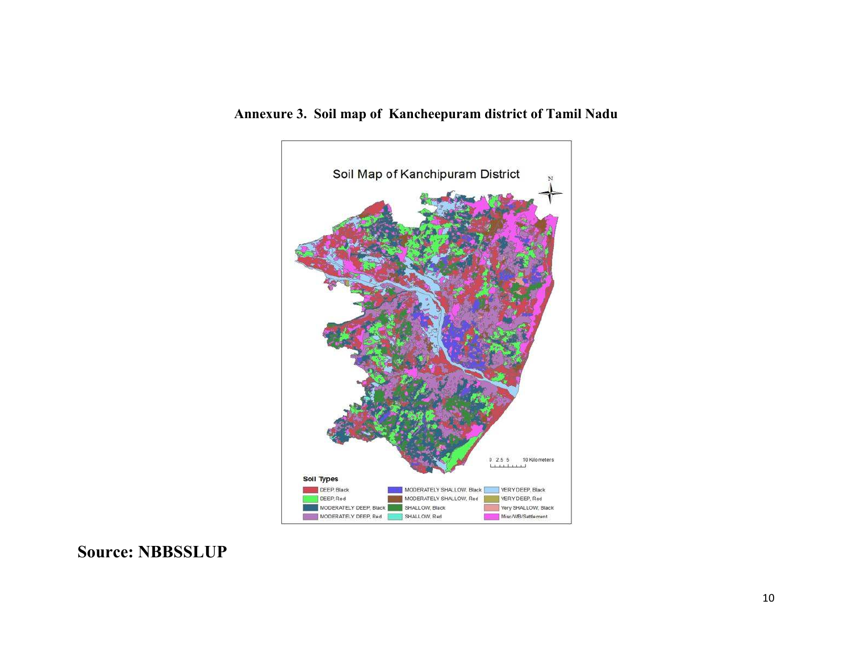

# Annexure 3. Soil map of Kancheepuram district of Tamil Nadu

# Source: NBBSSLUP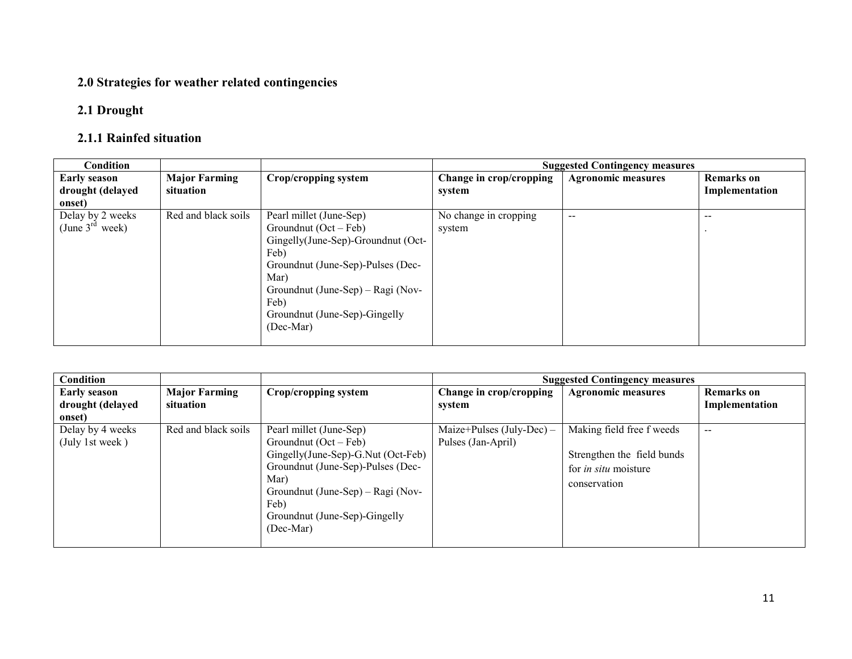#### 2.0 Strategies for weather related contingencies

#### 2.1 Drought

### 2.1.1 Rainfed situation

| <b>Condition</b>     |                      |                                    |                         | <b>Suggested Contingency measures</b> |                   |
|----------------------|----------------------|------------------------------------|-------------------------|---------------------------------------|-------------------|
| <b>Early season</b>  | <b>Major Farming</b> | Crop/cropping system               | Change in crop/cropping | <b>Agronomic measures</b>             | <b>Remarks</b> on |
| drought (delayed     | situation            |                                    | system                  |                                       | Implementation    |
| onset)               |                      |                                    |                         |                                       |                   |
| Delay by 2 weeks     | Red and black soils  | Pearl millet (June-Sep)            | No change in cropping   | $- -$                                 | $- -$             |
| (June $3^{rd}$ week) |                      | Groundnut $(Oct - Feb)$            | system                  |                                       |                   |
|                      |                      | Gingelly(June-Sep)-Groundnut (Oct- |                         |                                       |                   |
|                      |                      | Feb)                               |                         |                                       |                   |
|                      |                      | Groundnut (June-Sep)-Pulses (Dec-  |                         |                                       |                   |
|                      |                      | Mar)                               |                         |                                       |                   |
|                      |                      | Groundnut (June-Sep) – Ragi (Nov-  |                         |                                       |                   |
|                      |                      | Feb)                               |                         |                                       |                   |
|                      |                      | Groundnut (June-Sep)-Gingelly      |                         |                                       |                   |
|                      |                      | (Dec-Mar)                          |                         |                                       |                   |
|                      |                      |                                    |                         |                                       |                   |

| <b>Condition</b>                    |                      |                                                                                                                                                                                                                                  |                                                 | <b>Suggested Contingency measures</b>                                                                  |                   |
|-------------------------------------|----------------------|----------------------------------------------------------------------------------------------------------------------------------------------------------------------------------------------------------------------------------|-------------------------------------------------|--------------------------------------------------------------------------------------------------------|-------------------|
| <b>Early season</b>                 | <b>Major Farming</b> | Crop/cropping system                                                                                                                                                                                                             | Change in crop/cropping                         | <b>Agronomic measures</b>                                                                              | <b>Remarks</b> on |
| drought (delayed                    | situation            |                                                                                                                                                                                                                                  | system                                          |                                                                                                        | Implementation    |
| onset)                              |                      |                                                                                                                                                                                                                                  |                                                 |                                                                                                        |                   |
| Delay by 4 weeks<br>(July 1st week) | Red and black soils  | Pearl millet (June-Sep)<br>Groundnut $(Oct - Feb)$<br>Gingelly(June-Sep)-G.Nut (Oct-Feb)<br>Groundnut (June-Sep)-Pulses (Dec-<br>Mar)<br>Groundnut (June-Sep) – Ragi (Nov-<br>Feb)<br>Groundnut (June-Sep)-Gingelly<br>(Dec-Mar) | Maize+Pulses (July-Dec) –<br>Pulses (Jan-April) | Making field free f weeds<br>Strengthen the field bunds<br>for <i>in situ</i> moisture<br>conservation | $- -$             |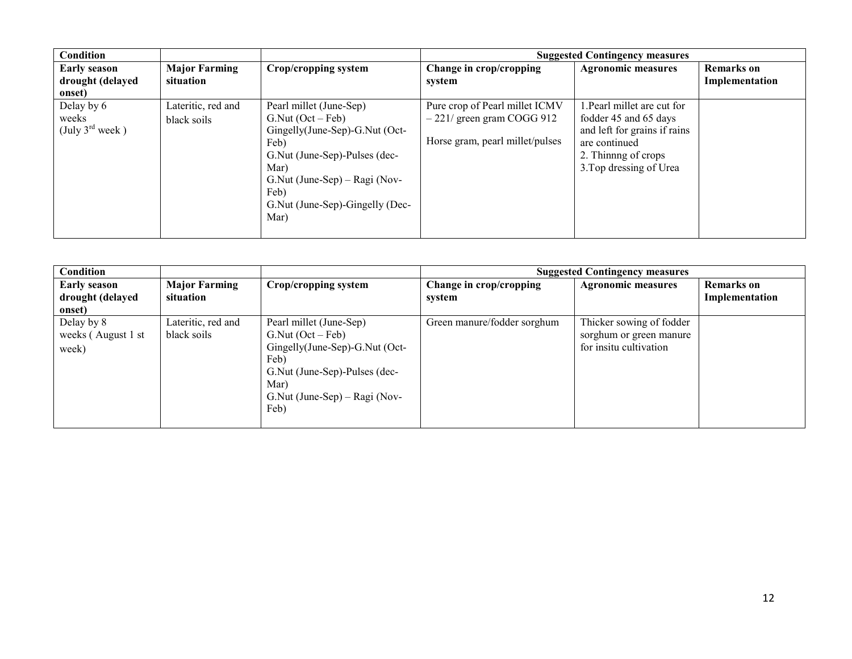| Condition                                          |                                   |                                                                                                                                                                                                                         |                                                                                                  | <b>Suggested Contingency measures</b>                                                                                                                    |                                     |
|----------------------------------------------------|-----------------------------------|-------------------------------------------------------------------------------------------------------------------------------------------------------------------------------------------------------------------------|--------------------------------------------------------------------------------------------------|----------------------------------------------------------------------------------------------------------------------------------------------------------|-------------------------------------|
| <b>Early season</b><br>drought (delayed            | <b>Major Farming</b><br>situation | Crop/cropping system                                                                                                                                                                                                    | Change in crop/cropping<br>system                                                                | <b>Agronomic measures</b>                                                                                                                                | <b>Remarks</b> on<br>Implementation |
| onset)                                             |                                   |                                                                                                                                                                                                                         |                                                                                                  |                                                                                                                                                          |                                     |
| Delay by 6<br>weeks<br>(July $3^{\text{rd}}$ week) | Lateritic, red and<br>black soils | Pearl millet (June-Sep)<br>$G.Nut (Oct - Feb)$<br>Gingelly(June-Sep)-G.Nut (Oct-<br>Feb)<br>G. Nut (June-Sep)-Pulses (dec-<br>Mar)<br>G.Nut (June-Sep) – Ragi (Nov-<br>Feb)<br>G. Nut (June-Sep)-Gingelly (Dec-<br>Mar) | Pure crop of Pearl millet ICMV<br>$-221/$ green gram COGG 912<br>Horse gram, pearl millet/pulses | 1. Pearl millet are cut for<br>fodder 45 and 65 days<br>and left for grains if rains<br>are continued<br>2. Thinning of crops<br>3. Top dressing of Urea |                                     |

| Condition                                  |                                   |                                                                                                                                                                                 |                                   | <b>Suggested Contingency measures</b>                                         |                                     |
|--------------------------------------------|-----------------------------------|---------------------------------------------------------------------------------------------------------------------------------------------------------------------------------|-----------------------------------|-------------------------------------------------------------------------------|-------------------------------------|
| <b>Early season</b><br>drought (delayed    | <b>Major Farming</b><br>situation | Crop/cropping system                                                                                                                                                            | Change in crop/cropping<br>system | <b>Agronomic measures</b>                                                     | <b>Remarks</b> on<br>Implementation |
| onset)                                     |                                   |                                                                                                                                                                                 |                                   |                                                                               |                                     |
| Delay by 8<br>weeks (August 1 st)<br>week) | Lateritic, red and<br>black soils | Pearl millet (June-Sep)<br>$G.Nut (Oct - Feb)$<br>$Gingelly(June-Sep)-G.Nut$ (Oct-<br>Feb)<br>G. Nut (June-Sep)-Pulses (dec-<br>Mar)<br>$G.Nut$ (June-Sep) – Ragi (Nov-<br>Feb) | Green manure/fodder sorghum       | Thicker sowing of fodder<br>sorghum or green manure<br>for insitu cultivation |                                     |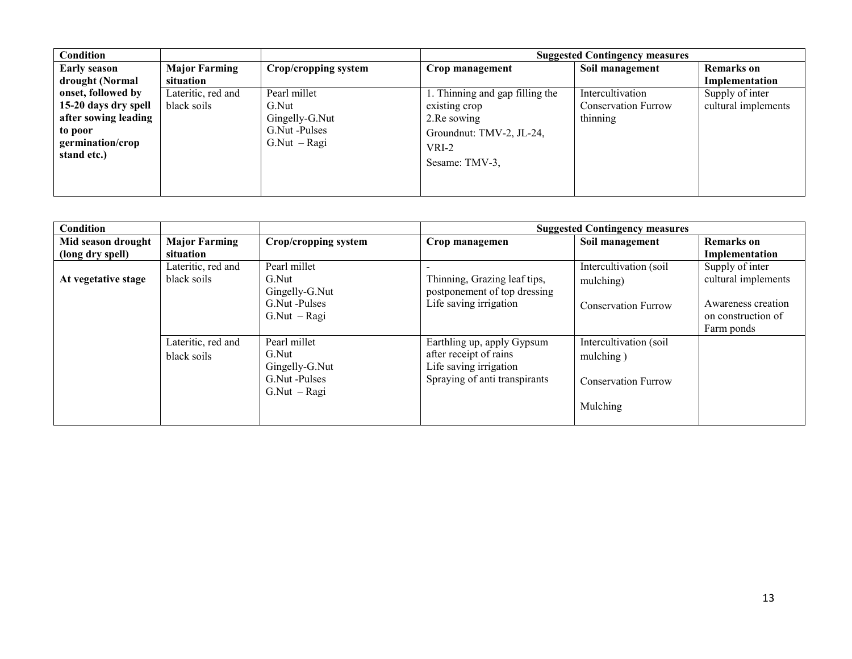| Condition            |                      |                                | <b>Suggested Contingency measures</b> |                            |                     |  |
|----------------------|----------------------|--------------------------------|---------------------------------------|----------------------------|---------------------|--|
| <b>Early season</b>  | <b>Major Farming</b> | Crop/cropping system           | Crop management                       | Soil management            | <b>Remarks</b> on   |  |
| drought (Normal      | situation            |                                |                                       |                            | Implementation      |  |
| onset, followed by   | Lateritic, red and   | Pearl millet                   | . Thinning and gap filling the        | Intercultivation           | Supply of inter     |  |
| 15-20 days dry spell | black soils          | G.Nut                          | existing crop                         | <b>Conservation Furrow</b> | cultural implements |  |
| after sowing leading |                      | Gingelly-G.Nut<br>2. Re sowing |                                       | thinning                   |                     |  |
| to poor              |                      | G.Nut -Pulses                  | Groundnut: TMV-2, JL-24,              |                            |                     |  |
| germination/crop     |                      | $G.Nut - Ragi$                 | VRI-2                                 |                            |                     |  |
| stand etc.)          |                      |                                |                                       |                            |                     |  |
|                      |                      |                                | Sesame: TMV-3.                        |                            |                     |  |
|                      |                      |                                |                                       |                            |                     |  |
|                      |                      |                                |                                       |                            |                     |  |

| Condition                              |                                   |                                                                            |                                                                                                                 | <b>Suggested Contingency measures</b>                                         |                                                                                                  |
|----------------------------------------|-----------------------------------|----------------------------------------------------------------------------|-----------------------------------------------------------------------------------------------------------------|-------------------------------------------------------------------------------|--------------------------------------------------------------------------------------------------|
| Mid season drought<br>(long dry spell) | <b>Major Farming</b><br>situation | Crop/cropping system                                                       | Crop managemen                                                                                                  | Soil management                                                               | Remarks on<br>Implementation                                                                     |
| At vegetative stage                    | Lateritic, red and<br>black soils | Pearl millet<br>G.Nut<br>Gingelly-G.Nut<br>G.Nut -Pulses<br>$G.Nut - Ragi$ | Thinning, Grazing leaf tips,<br>postponement of top dressing<br>Life saving irrigation                          | Intercultivation (soil<br>mulching)<br><b>Conservation Furrow</b>             | Supply of inter<br>cultural implements<br>Awareness creation<br>on construction of<br>Farm ponds |
|                                        | Lateritic, red and<br>black soils | Pearl millet<br>G.Nut<br>Gingelly-G.Nut<br>G.Nut -Pulses<br>$G.Nut - Ragi$ | Earthling up, apply Gypsum<br>after receipt of rains<br>Life saving irrigation<br>Spraying of anti transpirants | Intercultivation (soil<br>mulching)<br><b>Conservation Furrow</b><br>Mulching |                                                                                                  |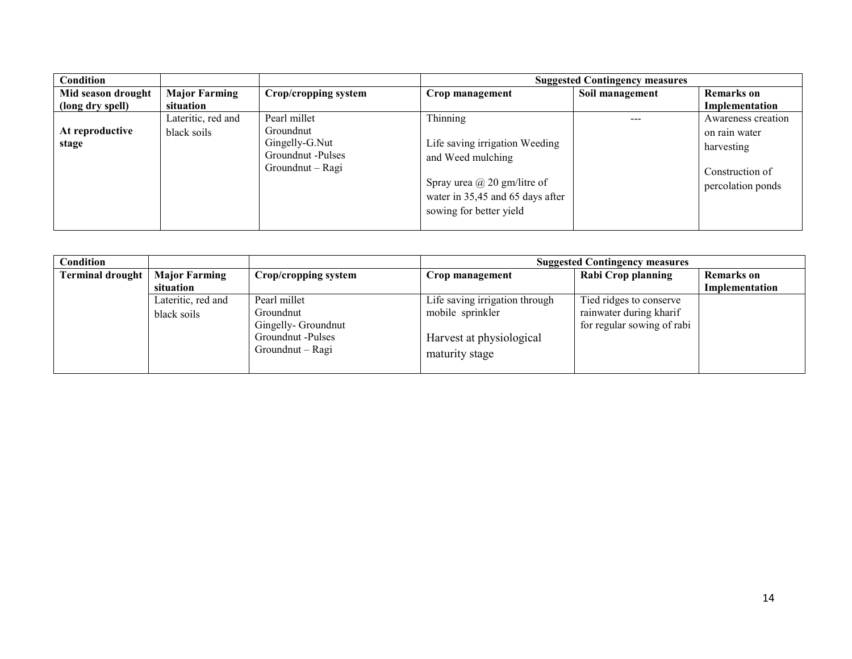| Condition                |                                   |                                                                                      | <b>Suggested Contingency measures</b>                                                                                                                                |                 |                                                                                           |
|--------------------------|-----------------------------------|--------------------------------------------------------------------------------------|----------------------------------------------------------------------------------------------------------------------------------------------------------------------|-----------------|-------------------------------------------------------------------------------------------|
| Mid season drought       | <b>Major Farming</b>              | Crop/cropping system                                                                 | Crop management                                                                                                                                                      | Soil management | <b>Remarks</b> on                                                                         |
| (long dry spell)         | situation                         |                                                                                      |                                                                                                                                                                      |                 | Implementation                                                                            |
| At reproductive<br>stage | Lateritic, red and<br>black soils | Pearl millet<br>Groundnut<br>Gingelly-G.Nut<br>Groundnut -Pulses<br>Groundnut – Ragi | Thinning<br>Life saving irrigation Weeding<br>and Weed mulching<br>Spray urea $\omega$ 20 gm/litre of<br>water in 35,45 and 65 days after<br>sowing for better yield |                 | Awareness creation<br>on rain water<br>harvesting<br>Construction of<br>percolation ponds |

| Condition               |                                              |                    | <b>Suggested Contingency measures</b> |                            |                   |  |  |
|-------------------------|----------------------------------------------|--------------------|---------------------------------------|----------------------------|-------------------|--|--|
| <b>Terminal drought</b> | <b>Major Farming</b><br>Crop/cropping system |                    | Crop management                       | <b>Rabi Crop planning</b>  | <b>Remarks</b> on |  |  |
|                         | situation                                    |                    |                                       |                            | Implementation    |  |  |
|                         | Lateritic, red and                           | Pearl millet       | Life saving irrigation through        | Tied ridges to conserve    |                   |  |  |
|                         | black soils                                  | Groundnut          | mobile sprinkler                      | rainwater during kharif    |                   |  |  |
|                         |                                              | Gingelly-Groundnut |                                       | for regular sowing of rabi |                   |  |  |
|                         |                                              | Groundnut -Pulses  | Harvest at physiological              |                            |                   |  |  |
|                         |                                              | Groundnut – Ragi   | maturity stage                        |                            |                   |  |  |
|                         |                                              |                    |                                       |                            |                   |  |  |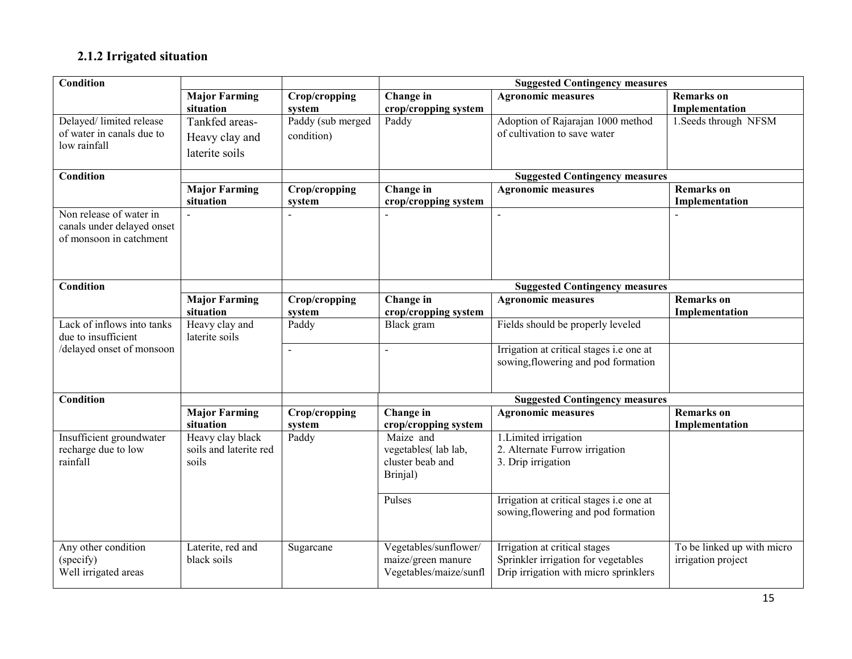### 2.1.2 Irrigated situation

| <b>Condition</b>           |                        |                     |                        | <b>Suggested Contingency measures</b>                              |                            |
|----------------------------|------------------------|---------------------|------------------------|--------------------------------------------------------------------|----------------------------|
|                            | <b>Major Farming</b>   | Crop/cropping       | Change in              | <b>Agronomic measures</b>                                          | <b>Remarks</b> on          |
|                            | situation              | system              | crop/cropping system   |                                                                    | Implementation             |
| Delayed/ limited release   | Tankfed areas-         | Paddy (sub merged   | Paddy                  | Adoption of Rajarajan 1000 method                                  | 1. Seeds through NFSM      |
| of water in canals due to  | Heavy clay and         | condition)          |                        | of cultivation to save water                                       |                            |
| low rainfall               | laterite soils         |                     |                        |                                                                    |                            |
|                            |                        |                     |                        |                                                                    |                            |
| <b>Condition</b>           |                        |                     |                        | <b>Suggested Contingency measures</b>                              |                            |
|                            | <b>Major Farming</b>   | Crop/cropping       | Change in              | <b>Agronomic measures</b>                                          | <b>Remarks</b> on          |
|                            | situation              | system              | crop/cropping system   |                                                                    | Implementation             |
| Non release of water in    |                        |                     |                        |                                                                    |                            |
| canals under delayed onset |                        |                     |                        |                                                                    |                            |
| of monsoon in catchment    |                        |                     |                        |                                                                    |                            |
|                            |                        |                     |                        |                                                                    |                            |
|                            |                        |                     |                        |                                                                    |                            |
| <b>Condition</b>           |                        |                     |                        | <b>Suggested Contingency measures</b>                              |                            |
|                            | <b>Major Farming</b>   | Crop/cropping       | Change in              | <b>Agronomic measures</b>                                          | <b>Remarks</b> on          |
|                            | situation              | system              | crop/cropping system   |                                                                    | Implementation             |
| Lack of inflows into tanks | Heavy clay and         | Paddy               | Black gram             | Fields should be properly leveled                                  |                            |
| due to insufficient        | laterite soils         |                     |                        |                                                                    |                            |
| /delayed onset of monsoon  |                        | $\bar{\phantom{a}}$ | $\sim$                 | Irrigation at critical stages i.e one at                           |                            |
|                            |                        |                     |                        | sowing, flowering and pod formation                                |                            |
|                            |                        |                     |                        |                                                                    |                            |
| <b>Condition</b>           |                        |                     |                        |                                                                    |                            |
|                            | <b>Major Farming</b>   | Crop/cropping       | Change in              | <b>Suggested Contingency measures</b><br><b>Agronomic measures</b> | <b>Remarks</b> on          |
|                            | situation              | system              | crop/cropping system   |                                                                    | Implementation             |
| Insufficient groundwater   | Heavy clay black       | Paddy               | Maize and              | 1. Limited irrigation                                              |                            |
| recharge due to low        | soils and laterite red |                     | vegetables(lab lab,    | 2. Alternate Furrow irrigation                                     |                            |
| rainfall                   | soils                  |                     | cluster beab and       | 3. Drip irrigation                                                 |                            |
|                            |                        |                     | Brinjal)               |                                                                    |                            |
|                            |                        |                     |                        |                                                                    |                            |
|                            |                        |                     | Pulses                 | Irrigation at critical stages i.e one at                           |                            |
|                            |                        |                     |                        | sowing, flowering and pod formation                                |                            |
|                            |                        |                     |                        |                                                                    |                            |
| Any other condition        | Laterite, red and      |                     | Vegetables/sunflower/  | Irrigation at critical stages                                      | To be linked up with micro |
| (specify)                  | black soils            | Sugarcane           | maize/green manure     | Sprinkler irrigation for vegetables                                | irrigation project         |
| Well irrigated areas       |                        |                     | Vegetables/maize/sunfl | Drip irrigation with micro sprinklers                              |                            |
|                            |                        |                     |                        |                                                                    |                            |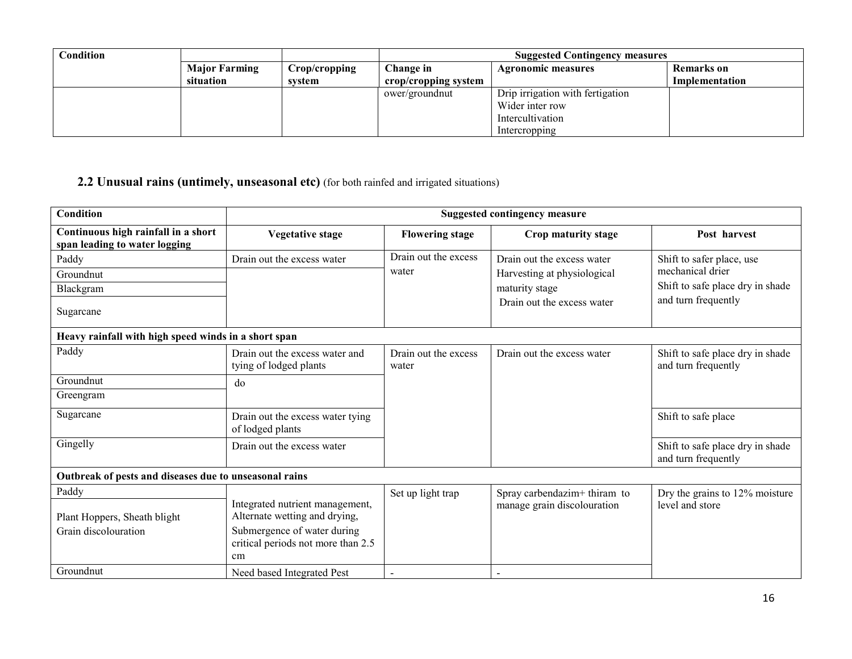| Condition |                      |               |                      | <b>Suggested Contingency measures</b> |                |  |
|-----------|----------------------|---------------|----------------------|---------------------------------------|----------------|--|
|           | <b>Major Farming</b> | Crop/cropping | Change in            | <b>Agronomic measures</b>             | Remarks on     |  |
|           | situation            | svstem        | crop/cropping system |                                       | Implementation |  |
|           |                      |               | ower/groundnut       | Drip irrigation with fertigation      |                |  |
|           |                      |               |                      | Wider inter row                       |                |  |
|           |                      |               |                      | Intercultivation                      |                |  |
|           |                      |               |                      | Intercropping                         |                |  |

# 2.2 Unusual rains (untimely, unseasonal etc) (for both rainfed and irrigated situations)

| Condition                                                            | <b>Suggested contingency measure</b>                                                                                                        |                               |                                          |                                                         |  |
|----------------------------------------------------------------------|---------------------------------------------------------------------------------------------------------------------------------------------|-------------------------------|------------------------------------------|---------------------------------------------------------|--|
| Continuous high rainfall in a short<br>span leading to water logging | <b>Vegetative stage</b>                                                                                                                     | <b>Flowering stage</b>        | Crop maturity stage                      | Post harvest                                            |  |
| Paddy                                                                | Drain out the excess water                                                                                                                  | Drain out the excess          | Drain out the excess water               | Shift to safer place, use                               |  |
| Groundnut                                                            |                                                                                                                                             | water                         | Harvesting at physiological              | mechanical drier                                        |  |
| Blackgram                                                            |                                                                                                                                             |                               | maturity stage                           | Shift to safe place dry in shade                        |  |
| Sugarcane                                                            |                                                                                                                                             |                               | Drain out the excess water               | and turn frequently                                     |  |
| Heavy rainfall with high speed winds in a short span                 |                                                                                                                                             |                               |                                          |                                                         |  |
| Paddy                                                                | Drain out the excess water and<br>tying of lodged plants                                                                                    | Drain out the excess<br>water | Drain out the excess water               | Shift to safe place dry in shade<br>and turn frequently |  |
| Groundnut                                                            | do                                                                                                                                          |                               |                                          |                                                         |  |
| Greengram                                                            |                                                                                                                                             |                               |                                          |                                                         |  |
| Sugarcane                                                            | Drain out the excess water tying<br>of lodged plants                                                                                        |                               |                                          | Shift to safe place                                     |  |
| Gingelly                                                             | Drain out the excess water                                                                                                                  |                               |                                          | Shift to safe place dry in shade<br>and turn frequently |  |
| Outbreak of pests and diseases due to unseasonal rains               |                                                                                                                                             |                               |                                          |                                                         |  |
| Paddy                                                                |                                                                                                                                             | Set up light trap             | Spray carbendazim <sup>+</sup> thiram to | Dry the grains to 12% moisture                          |  |
| Plant Hoppers, Sheath blight<br>Grain discolouration                 | Integrated nutrient management,<br>Alternate wetting and drying,<br>Submergence of water during<br>critical periods not more than 2.5<br>cm |                               | manage grain discolouration              | level and store                                         |  |
| Groundnut                                                            | Need based Integrated Pest                                                                                                                  |                               | $\overline{\phantom{0}}$                 |                                                         |  |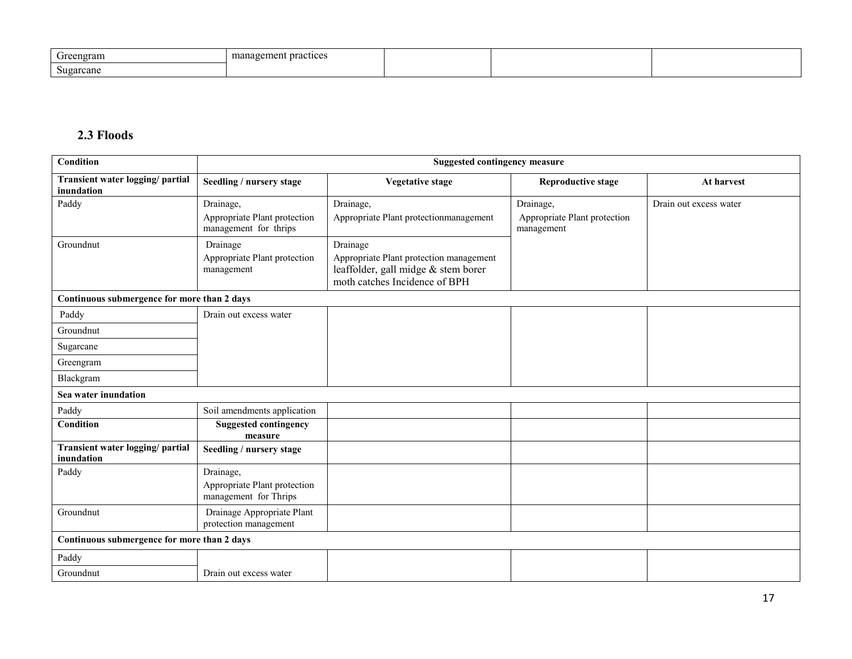| $\sqrt{2}$<br>Greengram | management practices |  |  |
|-------------------------|----------------------|--|--|
| $\sim$<br>Sugarcane     |                      |  |  |

#### 2.3 Floods

| <b>Condition</b>                               | <b>Suggested contingency measure</b>                               |                                                                                                                             |                                                         |                        |  |
|------------------------------------------------|--------------------------------------------------------------------|-----------------------------------------------------------------------------------------------------------------------------|---------------------------------------------------------|------------------------|--|
| Transient water logging/ partial<br>inundation | Seedling / nursery stage                                           | <b>Vegetative stage</b>                                                                                                     | <b>Reproductive stage</b>                               | At harvest             |  |
| Paddy                                          | Drainage,<br>Appropriate Plant protection<br>management for thrips | Drainage,<br>Appropriate Plant protectionmanagement                                                                         | Drainage,<br>Appropriate Plant protection<br>management | Drain out excess water |  |
| Groundnut                                      | Drainage<br>Appropriate Plant protection<br>management             | Drainage<br>Appropriate Plant protection management<br>leaffolder, gall midge & stem borer<br>moth catches Incidence of BPH |                                                         |                        |  |
| Continuous submergence for more than 2 days    |                                                                    |                                                                                                                             |                                                         |                        |  |
| Paddy                                          | Drain out excess water                                             |                                                                                                                             |                                                         |                        |  |
| Groundnut                                      |                                                                    |                                                                                                                             |                                                         |                        |  |
| Sugarcane                                      |                                                                    |                                                                                                                             |                                                         |                        |  |
| Greengram                                      |                                                                    |                                                                                                                             |                                                         |                        |  |
| Blackgram                                      |                                                                    |                                                                                                                             |                                                         |                        |  |
| Sea water inundation                           |                                                                    |                                                                                                                             |                                                         |                        |  |
| Paddy                                          | Soil amendments application                                        |                                                                                                                             |                                                         |                        |  |
| <b>Condition</b>                               | <b>Suggested contingency</b><br>measure                            |                                                                                                                             |                                                         |                        |  |
| Transient water logging/ partial<br>inundation | Seedling / nursery stage                                           |                                                                                                                             |                                                         |                        |  |
| Paddy                                          | Drainage,                                                          |                                                                                                                             |                                                         |                        |  |
|                                                | Appropriate Plant protection<br>management for Thrips              |                                                                                                                             |                                                         |                        |  |
| Groundnut                                      | Drainage Appropriate Plant<br>protection management                |                                                                                                                             |                                                         |                        |  |
| Continuous submergence for more than 2 days    |                                                                    |                                                                                                                             |                                                         |                        |  |
| Paddy                                          |                                                                    |                                                                                                                             |                                                         |                        |  |
| Groundnut                                      | Drain out excess water                                             |                                                                                                                             |                                                         |                        |  |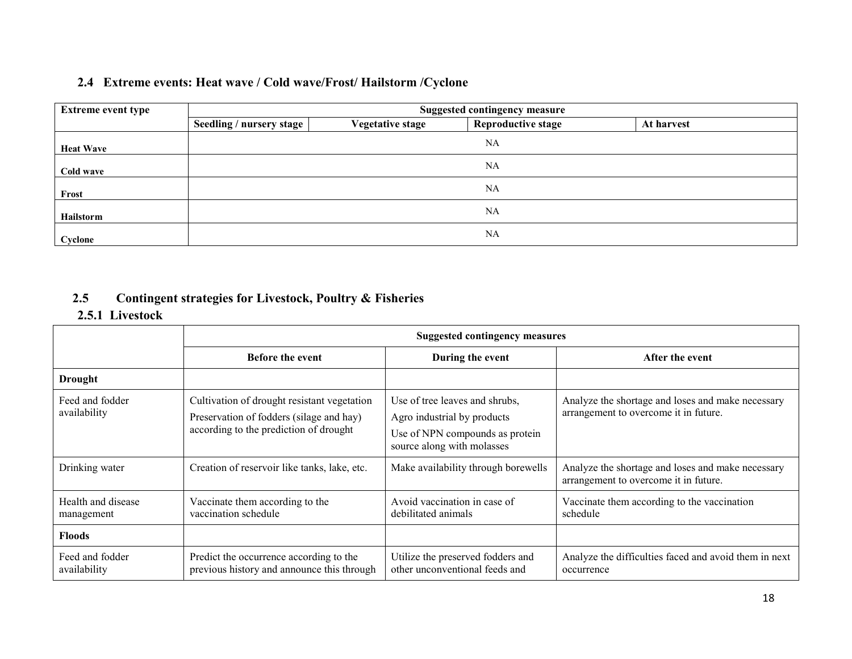#### 2.4 Extreme events: Heat wave / Cold wave/Frost/ Hailstorm /Cyclone

| <b>Extreme event type</b> |                          | <b>Suggested contingency measure</b> |                           |            |  |  |
|---------------------------|--------------------------|--------------------------------------|---------------------------|------------|--|--|
|                           | Seedling / nursery stage | <b>Vegetative stage</b>              | <b>Reproductive stage</b> | At harvest |  |  |
| <b>Heat Wave</b>          |                          |                                      | NA                        |            |  |  |
| Cold wave                 |                          |                                      | <b>NA</b>                 |            |  |  |
| Frost                     |                          |                                      | <b>NA</b>                 |            |  |  |
| Hailstorm                 |                          |                                      | <b>NA</b>                 |            |  |  |
| Cyclone                   |                          |                                      | NA                        |            |  |  |

#### 2.5Contingent strategies for Livestock, Poultry & Fisheries

### 2.5.1 Livestock

|                                  | <b>Suggested contingency measures</b>                                                                                             |                                                                                                                                |                                                                                            |  |  |
|----------------------------------|-----------------------------------------------------------------------------------------------------------------------------------|--------------------------------------------------------------------------------------------------------------------------------|--------------------------------------------------------------------------------------------|--|--|
|                                  | <b>Before the event</b>                                                                                                           | During the event                                                                                                               | After the event                                                                            |  |  |
| <b>Drought</b>                   |                                                                                                                                   |                                                                                                                                |                                                                                            |  |  |
| Feed and fodder<br>availability  | Cultivation of drought resistant vegetation<br>Preservation of fodders (silage and hay)<br>according to the prediction of drought | Use of tree leaves and shrubs,<br>Agro industrial by products<br>Use of NPN compounds as protein<br>source along with molasses | Analyze the shortage and loses and make necessary<br>arrangement to overcome it in future. |  |  |
| Drinking water                   | Creation of reservoir like tanks, lake, etc.                                                                                      | Make availability through borewells                                                                                            | Analyze the shortage and loses and make necessary<br>arrangement to overcome it in future. |  |  |
| Health and disease<br>management | Vaccinate them according to the<br>vaccination schedule                                                                           | Avoid vaccination in case of<br>debilitated animals                                                                            | Vaccinate them according to the vaccination<br>schedule                                    |  |  |
| <b>Floods</b>                    |                                                                                                                                   |                                                                                                                                |                                                                                            |  |  |
| Feed and fodder<br>availability  | Predict the occurrence according to the<br>previous history and announce this through                                             | Utilize the preserved fodders and<br>other unconventional feeds and                                                            | Analyze the difficulties faced and avoid them in next<br>occurrence                        |  |  |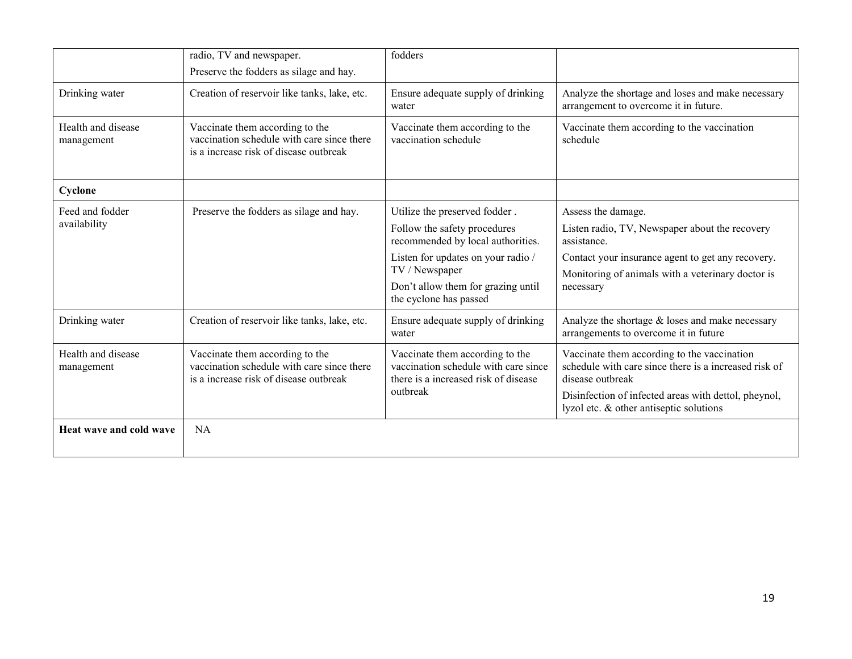|                                  | radio, TV and newspaper.                                                                                                | fodders                                                                                                         |                                                                                                                          |
|----------------------------------|-------------------------------------------------------------------------------------------------------------------------|-----------------------------------------------------------------------------------------------------------------|--------------------------------------------------------------------------------------------------------------------------|
|                                  | Preserve the fodders as silage and hay.                                                                                 |                                                                                                                 |                                                                                                                          |
| Drinking water                   | Creation of reservoir like tanks, lake, etc.                                                                            | Ensure adequate supply of drinking<br>water                                                                     | Analyze the shortage and loses and make necessary<br>arrangement to overcome it in future.                               |
| Health and disease<br>management | Vaccinate them according to the<br>vaccination schedule with care since there<br>is a increase risk of disease outbreak | Vaccinate them according to the<br>vaccination schedule                                                         | Vaccinate them according to the vaccination<br>schedule                                                                  |
| Cyclone                          |                                                                                                                         |                                                                                                                 |                                                                                                                          |
| Feed and fodder                  | Preserve the fodders as silage and hay.                                                                                 | Utilize the preserved fodder.                                                                                   | Assess the damage.                                                                                                       |
| availability                     |                                                                                                                         | Follow the safety procedures<br>recommended by local authorities.                                               | Listen radio, TV, Newspaper about the recovery<br>assistance.                                                            |
|                                  |                                                                                                                         | Listen for updates on your radio /<br>TV / Newspaper                                                            | Contact your insurance agent to get any recovery.<br>Monitoring of animals with a veterinary doctor is                   |
|                                  |                                                                                                                         | Don't allow them for grazing until<br>the cyclone has passed                                                    | necessary                                                                                                                |
| Drinking water                   | Creation of reservoir like tanks, lake, etc.                                                                            | Ensure adequate supply of drinking<br>water                                                                     | Analyze the shortage $&$ loses and make necessary<br>arrangements to overcome it in future                               |
| Health and disease<br>management | Vaccinate them according to the<br>vaccination schedule with care since there<br>is a increase risk of disease outbreak | Vaccinate them according to the<br>vaccination schedule with care since<br>there is a increased risk of disease | Vaccinate them according to the vaccination<br>schedule with care since there is a increased risk of<br>disease outbreak |
|                                  |                                                                                                                         | outbreak                                                                                                        | Disinfection of infected areas with dettol, pheynol,<br>lyzol etc. & other antiseptic solutions                          |
| Heat wave and cold wave          | <b>NA</b>                                                                                                               |                                                                                                                 |                                                                                                                          |
|                                  |                                                                                                                         |                                                                                                                 |                                                                                                                          |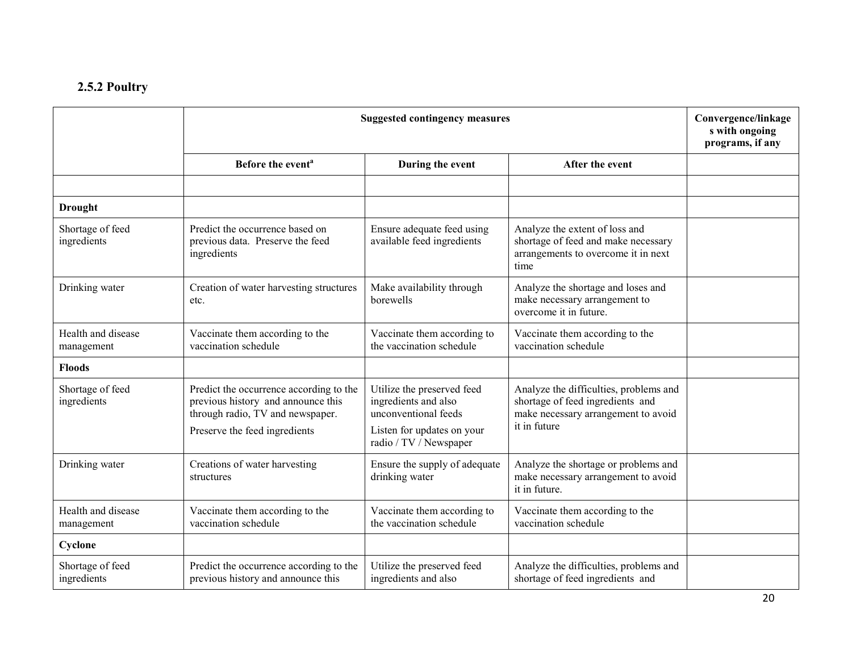#### 2.5.2 Poultry

|                                  | <b>Suggested contingency measures</b>                                                                                                              | Convergence/linkage<br>s with ongoing<br>programs, if any                                                |                                                                                                                                   |  |
|----------------------------------|----------------------------------------------------------------------------------------------------------------------------------------------------|----------------------------------------------------------------------------------------------------------|-----------------------------------------------------------------------------------------------------------------------------------|--|
|                                  | Before the event <sup>a</sup>                                                                                                                      | During the event                                                                                         | After the event                                                                                                                   |  |
|                                  |                                                                                                                                                    |                                                                                                          |                                                                                                                                   |  |
| <b>Drought</b>                   |                                                                                                                                                    |                                                                                                          |                                                                                                                                   |  |
| Shortage of feed<br>ingredients  | Predict the occurrence based on<br>previous data. Preserve the feed<br>ingredients                                                                 | Ensure adequate feed using<br>available feed ingredients                                                 | Analyze the extent of loss and<br>shortage of feed and make necessary<br>arrangements to overcome it in next<br>time              |  |
| Drinking water                   | Creation of water harvesting structures<br>etc.                                                                                                    | Make availability through<br>borewells                                                                   | Analyze the shortage and loses and<br>make necessary arrangement to<br>overcome it in future.                                     |  |
| Health and disease<br>management | Vaccinate them according to the<br>vaccination schedule                                                                                            | Vaccinate them according to<br>the vaccination schedule                                                  | Vaccinate them according to the<br>vaccination schedule                                                                           |  |
| <b>Floods</b>                    |                                                                                                                                                    |                                                                                                          |                                                                                                                                   |  |
| Shortage of feed<br>ingredients  | Predict the occurrence according to the<br>previous history and announce this<br>through radio, TV and newspaper.<br>Preserve the feed ingredients | Utilize the preserved feed<br>ingredients and also<br>unconventional feeds<br>Listen for updates on your | Analyze the difficulties, problems and<br>shortage of feed ingredients and<br>make necessary arrangement to avoid<br>it in future |  |
|                                  |                                                                                                                                                    | radio / TV / Newspaper                                                                                   |                                                                                                                                   |  |
| Drinking water                   | Creations of water harvesting<br>structures                                                                                                        | Ensure the supply of adequate<br>drinking water                                                          | Analyze the shortage or problems and<br>make necessary arrangement to avoid<br>it in future.                                      |  |
| Health and disease<br>management | Vaccinate them according to the<br>vaccination schedule                                                                                            | Vaccinate them according to<br>the vaccination schedule                                                  | Vaccinate them according to the<br>vaccination schedule                                                                           |  |
| Cyclone                          |                                                                                                                                                    |                                                                                                          |                                                                                                                                   |  |
| Shortage of feed<br>ingredients  | Predict the occurrence according to the<br>previous history and announce this                                                                      | Utilize the preserved feed<br>ingredients and also                                                       | Analyze the difficulties, problems and<br>shortage of feed ingredients and                                                        |  |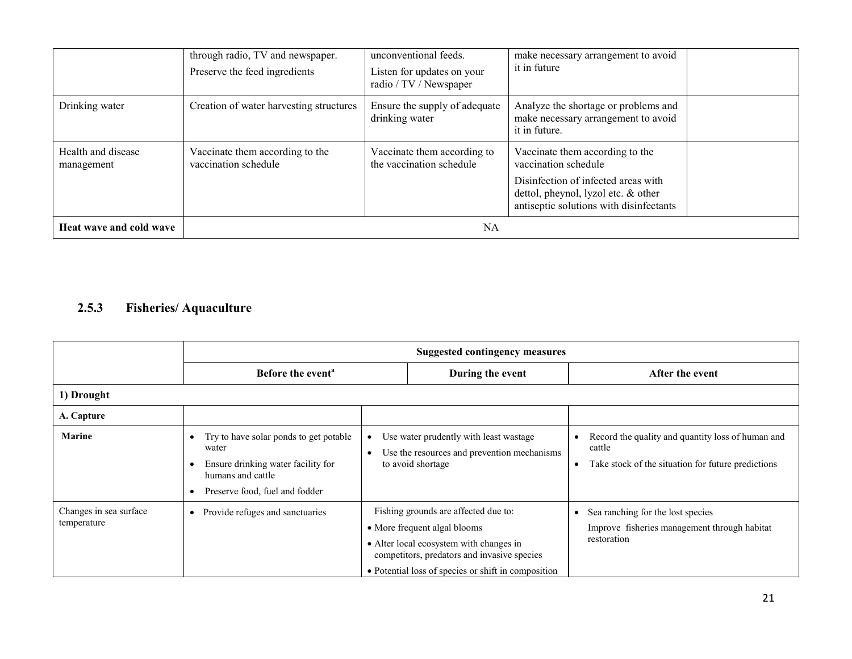|                                  | through radio, TV and newspaper.<br>Preserve the feed ingredients | unconventional feeds.<br>Listen for updates on your<br>radio / TV / Newspaper | make necessary arrangement to avoid<br>it in future                                                                                                                              |  |
|----------------------------------|-------------------------------------------------------------------|-------------------------------------------------------------------------------|----------------------------------------------------------------------------------------------------------------------------------------------------------------------------------|--|
| Drinking water                   | Creation of water harvesting structures                           | Ensure the supply of adequate<br>drinking water                               | Analyze the shortage or problems and<br>make necessary arrangement to avoid<br>it in future.                                                                                     |  |
| Health and disease<br>management | Vaccinate them according to the<br>vaccination schedule           | Vaccinate them according to<br>the vaccination schedule                       | Vaccinate them according to the<br>vaccination schedule<br>Disinfection of infected areas with<br>dettol, pheynol, lyzol etc. & other<br>antiseptic solutions with disinfectants |  |
| Heat wave and cold wave          |                                                                   | NA                                                                            |                                                                                                                                                                                  |  |

#### 2.5.3 Fisheries/ Aquaculture

|                                       | <b>Suggested contingency measures</b>                                                                                                        |  |                                                                                                                                                                                                                       |   |                                                                                                                   |
|---------------------------------------|----------------------------------------------------------------------------------------------------------------------------------------------|--|-----------------------------------------------------------------------------------------------------------------------------------------------------------------------------------------------------------------------|---|-------------------------------------------------------------------------------------------------------------------|
|                                       | Before the event <sup>a</sup>                                                                                                                |  | During the event                                                                                                                                                                                                      |   | After the event                                                                                                   |
| 1) Drought                            |                                                                                                                                              |  |                                                                                                                                                                                                                       |   |                                                                                                                   |
| A. Capture                            |                                                                                                                                              |  |                                                                                                                                                                                                                       |   |                                                                                                                   |
| <b>Marine</b>                         | Try to have solar ponds to get potable<br>water<br>Ensure drinking water facility for<br>humans and cattle<br>Preserve food, fuel and fodder |  | Use water prudently with least wastage<br>Use the resources and prevention mechanisms<br>to avoid shortage                                                                                                            | ٠ | Record the quality and quantity loss of human and<br>cattle<br>Take stock of the situation for future predictions |
| Changes in sea surface<br>temperature | Provide refuges and sanctuaries<br>$\bullet$                                                                                                 |  | Fishing grounds are affected due to:<br>• More frequent algal blooms<br>• Alter local ecosystem with changes in<br>competitors, predators and invasive species<br>• Potential loss of species or shift in composition |   | Sea ranching for the lost species<br>Improve fisheries management through habitat<br>restoration                  |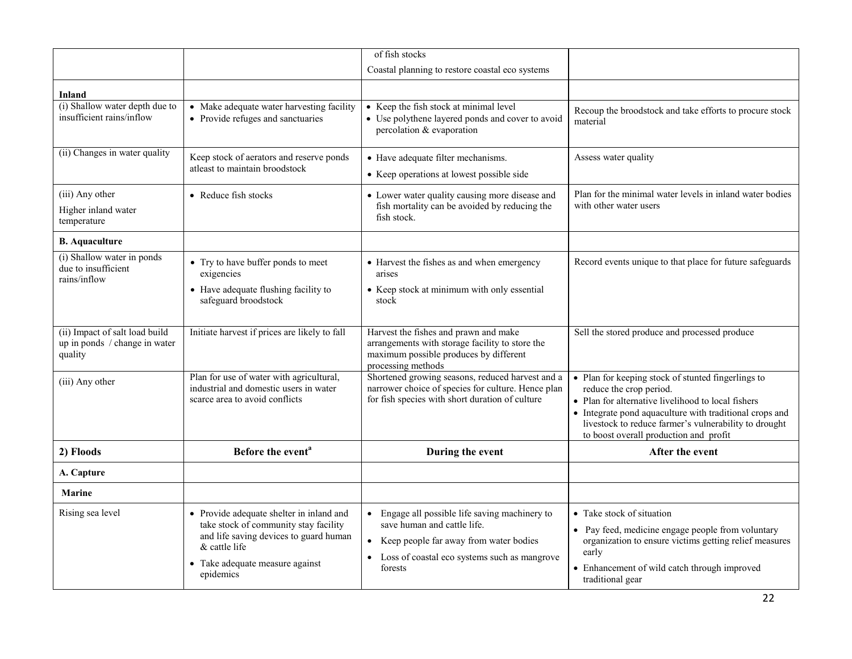|                                                                            |                                                                                                                                                                                            | of fish stocks                                                                                                                                                                                    |                                                                                                                                                                                                                                                                                                   |
|----------------------------------------------------------------------------|--------------------------------------------------------------------------------------------------------------------------------------------------------------------------------------------|---------------------------------------------------------------------------------------------------------------------------------------------------------------------------------------------------|---------------------------------------------------------------------------------------------------------------------------------------------------------------------------------------------------------------------------------------------------------------------------------------------------|
|                                                                            |                                                                                                                                                                                            | Coastal planning to restore coastal eco systems                                                                                                                                                   |                                                                                                                                                                                                                                                                                                   |
| Inland                                                                     |                                                                                                                                                                                            |                                                                                                                                                                                                   |                                                                                                                                                                                                                                                                                                   |
| (i) Shallow water depth due to<br>insufficient rains/inflow                | • Make adequate water harvesting facility<br>• Provide refuges and sanctuaries                                                                                                             | • Keep the fish stock at minimal level<br>• Use polythene layered ponds and cover to avoid<br>percolation & evaporation                                                                           | Recoup the broodstock and take efforts to procure stock<br>material                                                                                                                                                                                                                               |
| (ii) Changes in water quality                                              | Keep stock of aerators and reserve ponds<br>atleast to maintain broodstock                                                                                                                 | • Have adequate filter mechanisms.<br>• Keep operations at lowest possible side                                                                                                                   | Assess water quality                                                                                                                                                                                                                                                                              |
| (iii) Any other<br>Higher inland water<br>temperature                      | • Reduce fish stocks                                                                                                                                                                       | • Lower water quality causing more disease and<br>fish mortality can be avoided by reducing the<br>fish stock.                                                                                    | Plan for the minimal water levels in inland water bodies<br>with other water users                                                                                                                                                                                                                |
| <b>B.</b> Aquaculture                                                      |                                                                                                                                                                                            |                                                                                                                                                                                                   |                                                                                                                                                                                                                                                                                                   |
| (i) Shallow water in ponds<br>due to insufficient<br>rains/inflow          | • Try to have buffer ponds to meet<br>exigencies<br>• Have adequate flushing facility to<br>safeguard broodstock                                                                           | • Harvest the fishes as and when emergency<br>arises<br>• Keep stock at minimum with only essential<br>stock                                                                                      | Record events unique to that place for future safeguards                                                                                                                                                                                                                                          |
| (ii) Impact of salt load build<br>up in ponds / change in water<br>quality | Initiate harvest if prices are likely to fall                                                                                                                                              | Harvest the fishes and prawn and make<br>arrangements with storage facility to store the<br>maximum possible produces by different<br>processing methods                                          | Sell the stored produce and processed produce                                                                                                                                                                                                                                                     |
| (iii) Any other                                                            | Plan for use of water with agricultural,<br>industrial and domestic users in water<br>scarce area to avoid conflicts                                                                       | Shortened growing seasons, reduced harvest and a<br>narrower choice of species for culture. Hence plan<br>for fish species with short duration of culture                                         | • Plan for keeping stock of stunted fingerlings to<br>reduce the crop period.<br>• Plan for alternative livelihood to local fishers<br>• Integrate pond aquaculture with traditional crops and<br>livestock to reduce farmer's vulnerability to drought<br>to boost overall production and profit |
| 2) Floods                                                                  | Before the event <sup>a</sup>                                                                                                                                                              | During the event                                                                                                                                                                                  | After the event                                                                                                                                                                                                                                                                                   |
| A. Capture                                                                 |                                                                                                                                                                                            |                                                                                                                                                                                                   |                                                                                                                                                                                                                                                                                                   |
| <b>Marine</b>                                                              |                                                                                                                                                                                            |                                                                                                                                                                                                   |                                                                                                                                                                                                                                                                                                   |
| Rising sea level                                                           | • Provide adequate shelter in inland and<br>take stock of community stay facility<br>and life saving devices to guard human<br>& cattle life<br>Take adequate measure against<br>epidemics | • Engage all possible life saving machinery to<br>save human and cattle life.<br>Keep people far away from water bodies<br>$\bullet$<br>• Loss of coastal eco systems such as mangrove<br>forests | • Take stock of situation<br>• Pay feed, medicine engage people from voluntary<br>organization to ensure victims getting relief measures<br>early<br>• Enhancement of wild catch through improved<br>traditional gear                                                                             |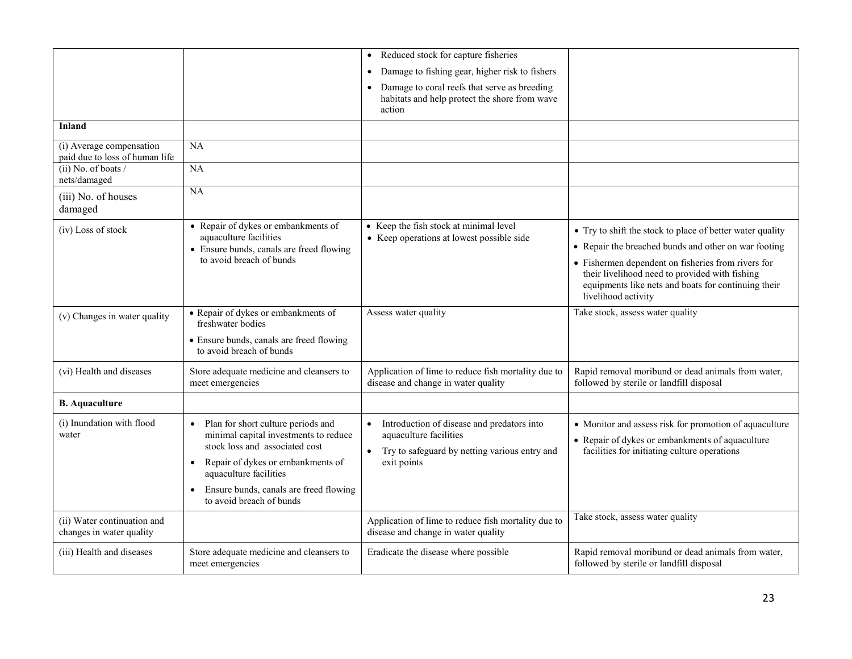|                                                            |                                                                                                                                                                                                                                                                                           | Reduced stock for capture fisheries<br>$\bullet$                                                                                                               |                                                                                                                                                                                                                                                                                                         |
|------------------------------------------------------------|-------------------------------------------------------------------------------------------------------------------------------------------------------------------------------------------------------------------------------------------------------------------------------------------|----------------------------------------------------------------------------------------------------------------------------------------------------------------|---------------------------------------------------------------------------------------------------------------------------------------------------------------------------------------------------------------------------------------------------------------------------------------------------------|
|                                                            |                                                                                                                                                                                                                                                                                           | Damage to fishing gear, higher risk to fishers<br>$\bullet$                                                                                                    |                                                                                                                                                                                                                                                                                                         |
|                                                            |                                                                                                                                                                                                                                                                                           | Damage to coral reefs that serve as breeding<br>$\bullet$<br>habitats and help protect the shore from wave<br>action                                           |                                                                                                                                                                                                                                                                                                         |
| <b>Inland</b>                                              |                                                                                                                                                                                                                                                                                           |                                                                                                                                                                |                                                                                                                                                                                                                                                                                                         |
| (i) Average compensation<br>paid due to loss of human life | NA                                                                                                                                                                                                                                                                                        |                                                                                                                                                                |                                                                                                                                                                                                                                                                                                         |
| $(ii)$ No. of boats /<br>nets/damaged                      | NA                                                                                                                                                                                                                                                                                        |                                                                                                                                                                |                                                                                                                                                                                                                                                                                                         |
| (iii) No. of houses<br>damaged                             | $\overline{NA}$                                                                                                                                                                                                                                                                           |                                                                                                                                                                |                                                                                                                                                                                                                                                                                                         |
| (iv) Loss of stock                                         | • Repair of dykes or embankments of<br>aquaculture facilities<br>• Ensure bunds, canals are freed flowing<br>to avoid breach of bunds                                                                                                                                                     | • Keep the fish stock at minimal level<br>• Keep operations at lowest possible side                                                                            | • Try to shift the stock to place of better water quality<br>• Repair the breached bunds and other on war footing<br>• Fishermen dependent on fisheries from rivers for<br>their livelihood need to provided with fishing<br>equipments like nets and boats for continuing their<br>livelihood activity |
| (v) Changes in water quality                               | • Repair of dykes or embankments of<br>freshwater bodies<br>• Ensure bunds, canals are freed flowing<br>to avoid breach of bunds                                                                                                                                                          | Assess water quality                                                                                                                                           | Take stock, assess water quality                                                                                                                                                                                                                                                                        |
| (vi) Health and diseases                                   | Store adequate medicine and cleansers to<br>meet emergencies                                                                                                                                                                                                                              | Application of lime to reduce fish mortality due to<br>disease and change in water quality                                                                     | Rapid removal moribund or dead animals from water,<br>followed by sterile or landfill disposal                                                                                                                                                                                                          |
| <b>B.</b> Aquaculture                                      |                                                                                                                                                                                                                                                                                           |                                                                                                                                                                |                                                                                                                                                                                                                                                                                                         |
| (i) Inundation with flood<br>water                         | Plan for short culture periods and<br>$\bullet$<br>minimal capital investments to reduce<br>stock loss and associated cost<br>Repair of dykes or embankments of<br>$\bullet$<br>aquaculture facilities<br>Ensure bunds, canals are freed flowing<br>$\bullet$<br>to avoid breach of bunds | Introduction of disease and predators into<br>$\bullet$<br>aquaculture facilities<br>Try to safeguard by netting various entry and<br>$\bullet$<br>exit points | • Monitor and assess risk for promotion of aquaculture<br>• Repair of dykes or embankments of aquaculture<br>facilities for initiating culture operations                                                                                                                                               |
| (ii) Water continuation and<br>changes in water quality    |                                                                                                                                                                                                                                                                                           | Application of lime to reduce fish mortality due to<br>disease and change in water quality                                                                     | Take stock, assess water quality                                                                                                                                                                                                                                                                        |
| (iii) Health and diseases                                  | Store adequate medicine and cleansers to<br>meet emergencies                                                                                                                                                                                                                              | Eradicate the disease where possible                                                                                                                           | Rapid removal moribund or dead animals from water,<br>followed by sterile or landfill disposal                                                                                                                                                                                                          |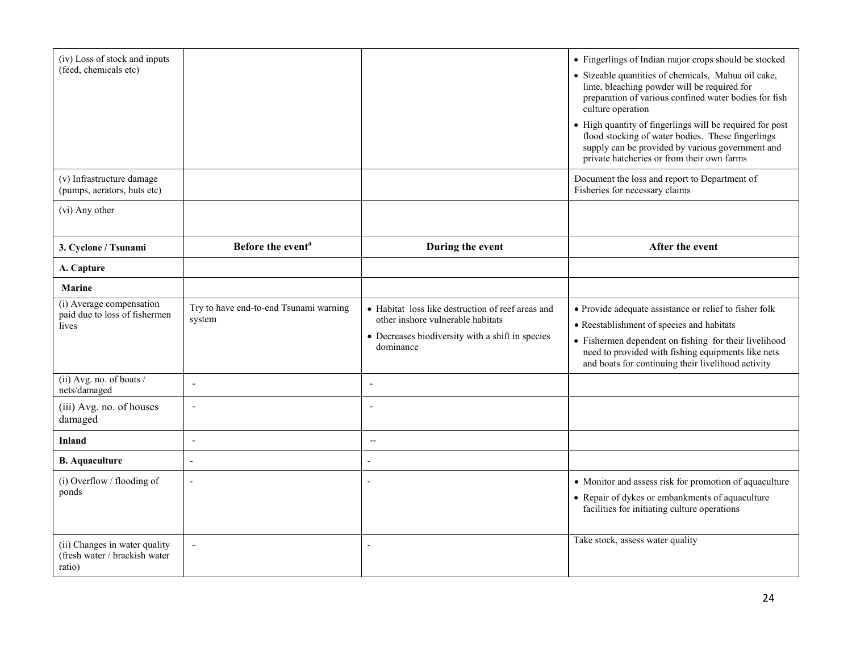| (iv) Loss of stock and inputs<br>(feed, chemicals etc)                   |                                                  |                                                                                                                                                         | • Fingerlings of Indian major crops should be stocked<br>· Sizeable quantities of chemicals, Mahua oil cake,<br>lime, bleaching powder will be required for<br>preparation of various confined water bodies for fish<br>culture operation<br>• High quantity of fingerlings will be required for post<br>flood stocking of water bodies. These fingerlings<br>supply can be provided by various government and<br>private hatcheries or from their own farms |
|--------------------------------------------------------------------------|--------------------------------------------------|---------------------------------------------------------------------------------------------------------------------------------------------------------|--------------------------------------------------------------------------------------------------------------------------------------------------------------------------------------------------------------------------------------------------------------------------------------------------------------------------------------------------------------------------------------------------------------------------------------------------------------|
| (v) Infrastructure damage<br>(pumps, aerators, huts etc)                 |                                                  |                                                                                                                                                         | Document the loss and report to Department of<br>Fisheries for necessary claims                                                                                                                                                                                                                                                                                                                                                                              |
| (vi) Any other                                                           |                                                  |                                                                                                                                                         |                                                                                                                                                                                                                                                                                                                                                                                                                                                              |
| 3. Cyclone / Tsunami                                                     | Before the event <sup>a</sup>                    | During the event                                                                                                                                        | After the event                                                                                                                                                                                                                                                                                                                                                                                                                                              |
| A. Capture                                                               |                                                  |                                                                                                                                                         |                                                                                                                                                                                                                                                                                                                                                                                                                                                              |
| <b>Marine</b>                                                            |                                                  |                                                                                                                                                         |                                                                                                                                                                                                                                                                                                                                                                                                                                                              |
| (i) Average compensation<br>paid due to loss of fishermen<br>lives       | Try to have end-to-end Tsunami warning<br>system | • Habitat loss like destruction of reef areas and<br>other inshore vulnerable habitats<br>• Decreases biodiversity with a shift in species<br>dominance | • Provide adequate assistance or relief to fisher folk<br>• Reestablishment of species and habitats<br>• Fishermen dependent on fishing for their livelihood<br>need to provided with fishing equipments like nets<br>and boats for continuing their livelihood activity                                                                                                                                                                                     |
| (ii) Avg. no. of boats /<br>nets/damaged                                 | $\overline{\phantom{a}}$                         | $\overline{\phantom{a}}$                                                                                                                                |                                                                                                                                                                                                                                                                                                                                                                                                                                                              |
| (iii) Avg. no. of houses<br>damaged                                      | $\overline{\phantom{a}}$                         | $\overline{\phantom{a}}$                                                                                                                                |                                                                                                                                                                                                                                                                                                                                                                                                                                                              |
| <b>Inland</b>                                                            | $\sim$                                           | $\overline{\phantom{a}}$                                                                                                                                |                                                                                                                                                                                                                                                                                                                                                                                                                                                              |
| <b>B.</b> Aquaculture                                                    | $\overline{a}$                                   | $\overline{a}$                                                                                                                                          |                                                                                                                                                                                                                                                                                                                                                                                                                                                              |
| (i) Overflow / flooding of<br>ponds                                      |                                                  | $\overline{a}$                                                                                                                                          | • Monitor and assess risk for promotion of aquaculture<br>• Repair of dykes or embankments of aquaculture<br>facilities for initiating culture operations<br>Take stock, assess water quality                                                                                                                                                                                                                                                                |
| (ii) Changes in water quality<br>(fresh water / brackish water<br>ratio) | $\overline{\phantom{a}}$                         | $\overline{\phantom{a}}$                                                                                                                                |                                                                                                                                                                                                                                                                                                                                                                                                                                                              |